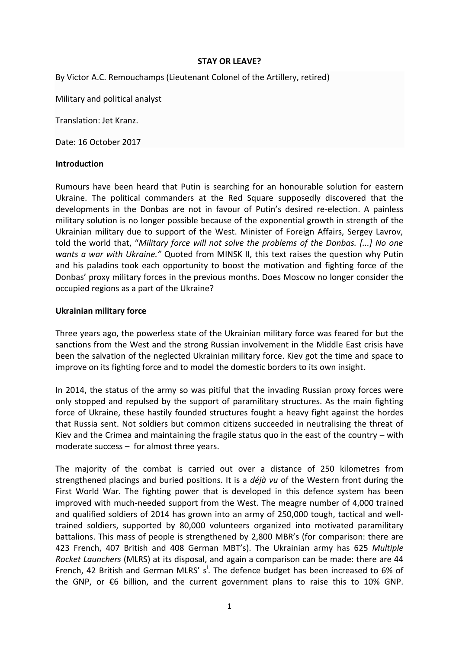## **STAY OR LEAVE?**

By Victor A.C. Remouchamps (Lieutenant Colonel of the Artillery, retired)

Military and political analyst

Translation: Jet Kranz.

Date: 16 October 2017

## **Introduction**

Rumours have been heard that Putin is searching for an honourable solution for eastern Ukraine. The political commanders at the Red Square supposedly discovered that the developments in the Donbas are not in favour of Putin's desired re-election. A painless military solution is no longer possible because of the exponential growth in strength of the Ukrainian military due to support of the West. Minister of Foreign Affairs, Sergey Lavrov, told the world that, "*Military force will not solve the problems of the Donbas. [...] No one wants a war with Ukraine."* Quoted from MINSK II, this text raises the question why Putin and his paladins took each opportunity to boost the motivation and fighting force of the Donbas' proxy military forces in the previous months. Does Moscow no longer consider the occupied regions as a part of the Ukraine?

# **Ukrainian military force**

Three years ago, the powerless state of the Ukrainian military force was feared for but the sanctions from the West and the strong Russian involvement in the Middle East crisis have been the salvation of the neglected Ukrainian military force. Kiev got the time and space to improve on its fighting force and to model the domestic borders to its own insight.

In 2014, the status of the army so was pitiful that the invading Russian proxy forces were only stopped and repulsed by the support of paramilitary structures. As the main fighting force of Ukraine, these hastily founded structures fought a heavy fight against the hordes that Russia sent. Not soldiers but common citizens succeeded in neutralising the threat of Kiev and the Crimea and maintaining the fragile status quo in the east of the country – with moderate success – for almost three years.

The majority of the combat is carried out over a distance of 250 kilometres from strengthened placings and buried positions. It is a *déjà vu* of the Western front during the First World War. The fighting power that is developed in this defence system has been improved with much-needed support from the West. The meagre number of 4,000 trained and qualified soldiers of 2014 has grown into an army of 250,000 tough, tactical and welltrained soldiers, supported by 80,000 volunteers organized into motivated paramilitary battalions. This mass of people is strengthened by 2,800 MBR's (for comparison: there are 423 French, 407 British and 408 German MBT's). The Ukrainian army has 625 *Multiple Rocket Launchers* (MLRS) at its disposal, and again a comparison can be made: there are 44 French, 42 British and German MLRS' s<sup>i</sup>. The defence budget has been increased to 6% of the GNP, or  $\epsilon$ 6 billion, and the current government plans to raise this to 10% GNP.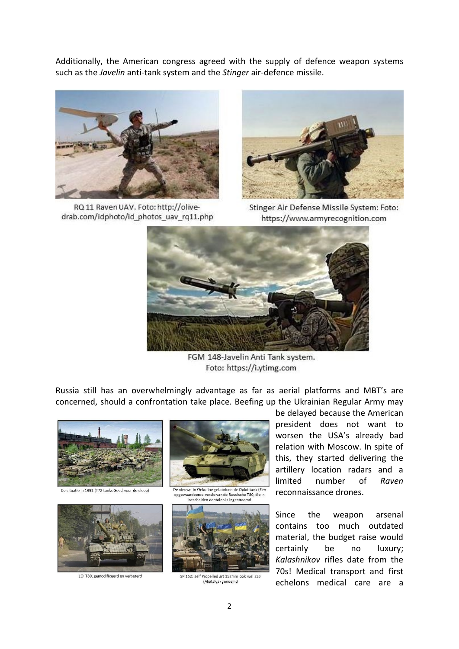Additionally, the American congress agreed with the supply of defence weapon systems such as the *Javelin* anti-tank system and the *Stinger* air-defence missile.



RQ 11 Raven UAV. Foto: http://olivedrab.com/idphoto/id photos uav rq11.php



Stinger Air Defense Missile System: Foto: https://www.armyrecognition.com



FGM 148-Javelin Anti Tank system. Foto: https://i.ytimg.com

Russia still has an overwhelmingly advantage as far as aerial platforms and MBT's are concerned, should a confrontation take place. Beefing up the Ukrainian Regular Army may



De situatie in 1991 (T72 tanks Goed voor de sloop)



LO T80, gemodificeerd en verbeterd



De nieuwe in Oekraine gefabriceerde Oplot tank (Eer aardeerde versie van de Russische T80, die i bescheiden aantalen is ingestroomd



SP 152: self Propelled art 152mm ook wel 253 (Akatsiya) genoemd

be delayed because the American president does not want to worsen the USA's already bad relation with Moscow. In spite of this, they started delivering the artillery location radars and a limited number of *Raven* reconnaissance drones.

Since the weapon arsenal contains too much outdated material, the budget raise would certainly be no luxury; *Kalashnikov* rifles date from the 70s! Medical transport and first echelons medical care are a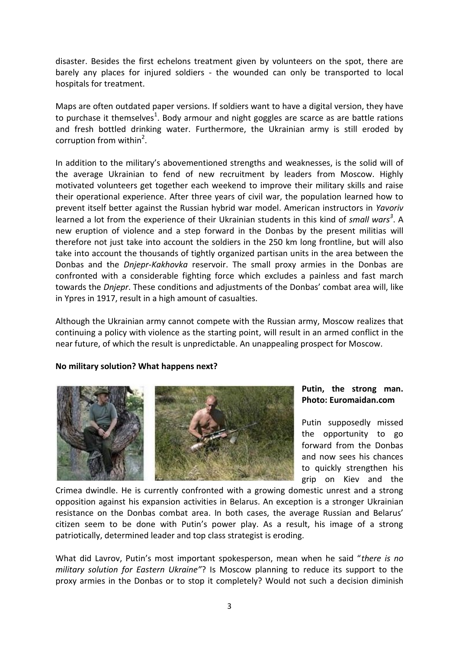disaster. Besides the first echelons treatment given by volunteers on the spot, there are barely any places for injured soldiers - the wounded can only be transported to local hospitals for treatment.

Maps are often outdated paper versions. If soldiers want to have a digital version, they have to purchase it themselves<sup>1</sup>. Body armour and night goggles are scarce as are battle rations and fresh bottled drinking water. Furthermore, the Ukrainian army is still eroded by corruption from within<sup>2</sup>.

In addition to the military's abovementioned strengths and weaknesses, is the solid will of the average Ukrainian to fend of new recruitment by leaders from Moscow. Highly motivated volunteers get together each weekend to improve their military skills and raise their operational experience. After three years of civil war, the population learned how to prevent itself better against the Russian hybrid war model. American instructors in *Yavoriv*  learned a lot from the experience of their Ukrainian students in this kind of *small wars 3* . A new eruption of violence and a step forward in the Donbas by the present militias will therefore not just take into account the soldiers in the 250 km long frontline, but will also take into account the thousands of tightly organized partisan units in the area between the Donbas and the *Dnjepr-Kakhovka* reservoir. The small proxy armies in the Donbas are confronted with a considerable fighting force which excludes a painless and fast march towards the *Dnjepr*. These conditions and adjustments of the Donbas' combat area will, like in Ypres in 1917, result in a high amount of casualties.

Although the Ukrainian army cannot compete with the Russian army, Moscow realizes that continuing a policy with violence as the starting point, will result in an armed conflict in the near future, of which the result is unpredictable. An unappealing prospect for Moscow.

## **No military solution? What happens next?**



## **Putin, the strong man. Photo: Euromaidan.com**

Putin supposedly missed the opportunity to go forward from the Donbas and now sees his chances to quickly strengthen his grip on Kiev and the

Crimea dwindle. He is currently confronted with a growing domestic unrest and a strong opposition against his expansion activities in Belarus. An exception is a stronger Ukrainian resistance on the Donbas combat area. In both cases, the average Russian and Belarus' citizen seem to be done with Putin's power play. As a result, his image of a strong patriotically, determined leader and top class strategist is eroding.

What did Lavrov, Putin's most important spokesperson, mean when he said "*there is no military solution for Eastern Ukraine"*? Is Moscow planning to reduce its support to the proxy armies in the Donbas or to stop it completely? Would not such a decision diminish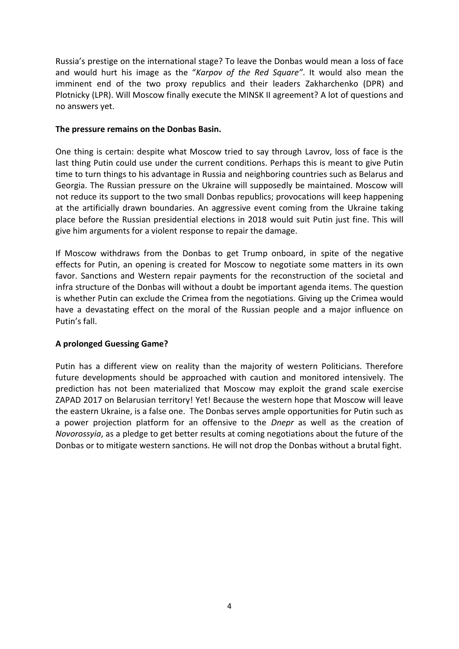Russia's prestige on the international stage? To leave the Donbas would mean a loss of face and would hurt his image as the "*Karpov of the Red Square"*. It would also mean the imminent end of the two proxy republics and their leaders Zakharchenko (DPR) and Plotnicky (LPR). Will Moscow finally execute the MINSK II agreement? A lot of questions and no answers yet.

## **The pressure remains on the Donbas Basin.**

One thing is certain: despite what Moscow tried to say through Lavrov, loss of face is the last thing Putin could use under the current conditions. Perhaps this is meant to give Putin time to turn things to his advantage in Russia and neighboring countries such as Belarus and Georgia. The Russian pressure on the Ukraine will supposedly be maintained. Moscow will not reduce its support to the two small Donbas republics; provocations will keep happening at the artificially drawn boundaries. An aggressive event coming from the Ukraine taking place before the Russian presidential elections in 2018 would suit Putin just fine. This will give him arguments for a violent response to repair the damage.

If Moscow withdraws from the Donbas to get Trump onboard, in spite of the negative effects for Putin, an opening is created for Moscow to negotiate some matters in its own favor. Sanctions and Western repair payments for the reconstruction of the societal and infra structure of the Donbas will without a doubt be important agenda items. The question is whether Putin can exclude the Crimea from the negotiations. Giving up the Crimea would have a devastating effect on the moral of the Russian people and a major influence on Putin's fall.

## **A prolonged Guessing Game?**

Putin has a different view on reality than the majority of western Politicians. Therefore future developments should be approached with caution and monitored intensively. The prediction has not been materialized that Moscow may exploit the grand scale exercise ZAPAD 2017 on Belarusian territory! Yet! Because the western hope that Moscow will leave the eastern Ukraine, is a false one. The Donbas serves ample opportunities for Putin such as a power projection platform for an offensive to the *Dnepr* as well as the creation of *Novorossyia*, as a pledge to get better results at coming negotiations about the future of the Donbas or to mitigate western sanctions. He will not drop the Donbas without a brutal fight.